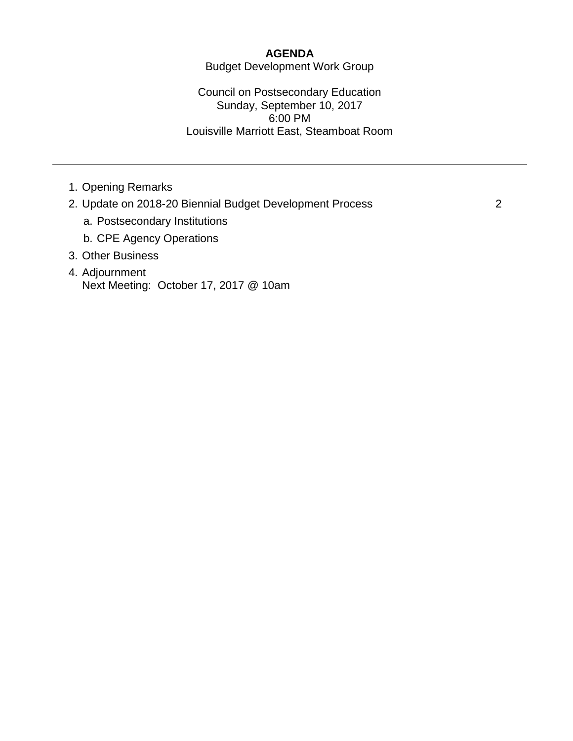#### **AGENDA**

Budget Development Work Group

Council on Postsecondary Education Sunday, September 10, 2017 6:00 PM Louisville Marriott East, Steamboat Room

- 1. Opening Remarks
- 2. Update on 2018-20 Biennial Budget Development Process 2
	- a. Postsecondary Institutions
	- b. CPE Agency Operations
- 3. Other Business
- 4. Adjournment Next Meeting: October 17, 2017 @ 10am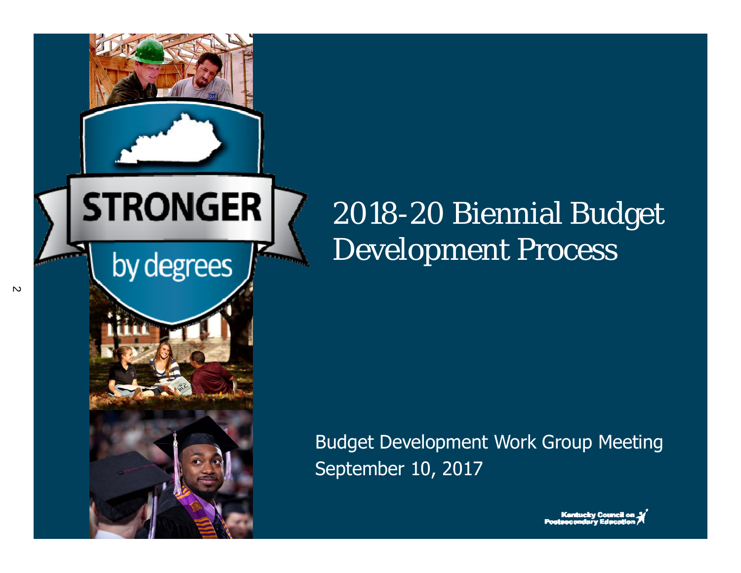

#### 2018-20 Biennial Budget Development Process

Budget Development Work Group Meeting September 10, 2017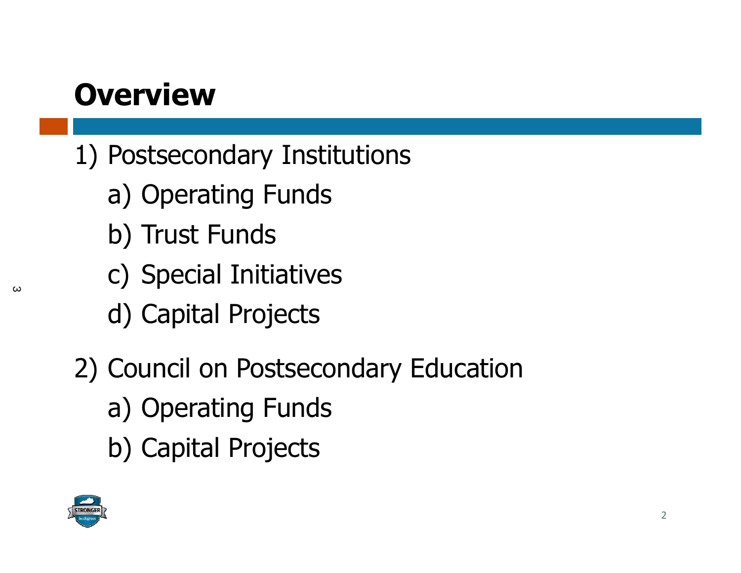#### **Overview**

- 1) Postsecondary Institutions
	- a) Operating Funds
	- b) Trust Funds
	- c) Special Initiatives
	- d) Capital Projects
- 2) Council on Postsecondary Education
	- a) Operating Funds
	- b) Capital Projects



 $\omega$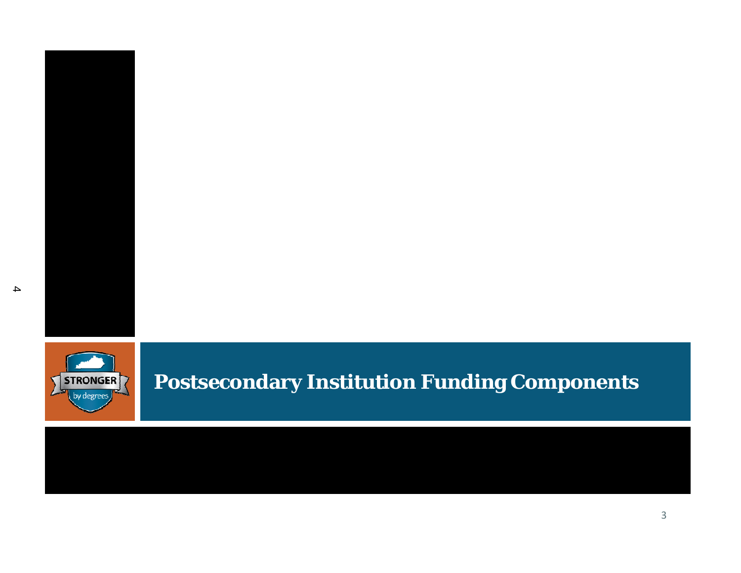



#### **Postsecondary Institution Funding Components**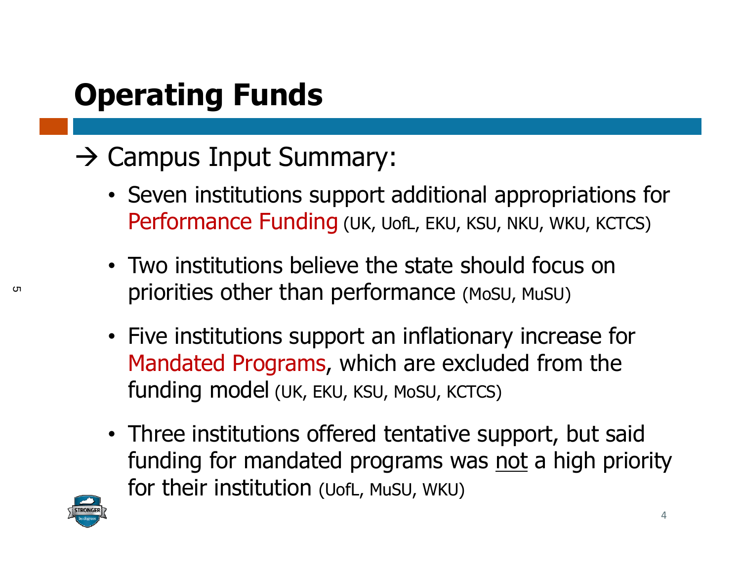## **Operating Funds**

#### $\rightarrow$  Campus Input Summary:

- Seven institutions support additional appropriations for Performance Funding (UK, UofL, EKU, KSU, NKU, WKU, KCTCS)
- Two institutions believe the state should focus on priorities other than performance (MoSU, MuSU)
- Five institutions support an inflationary increase for Mandated Programs, which are excluded from the funding model (UK, EKU, KSU, MoSU, KCTCS)
- Three institutions offered tentative support, but said funding for mandated programs was not a high priority for their institution (UofL, MuSU, WKU)



ር ከ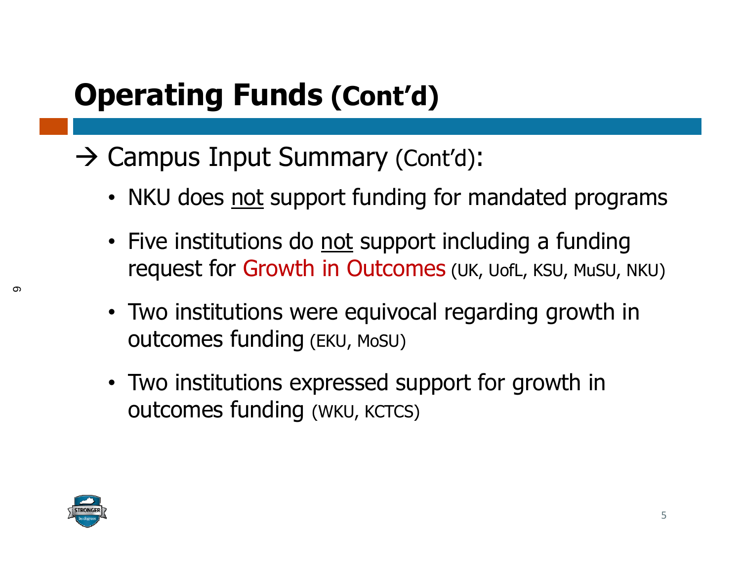#### **Operating Funds (Cont'd)**

- $\rightarrow$  Campus Input Summary (Cont'd):
	- NKU does not support funding for mandated programs
	- Five institutions do not support including a funding request for Growth in Outcomes (UK, UofL, KSU, MuSU, NKU)
	- Two institutions were equivocal regarding growth in outcomes funding (EKU, MoSU)
	- Two institutions expressed support for growth in outcomes funding (WKU, KCTCS)

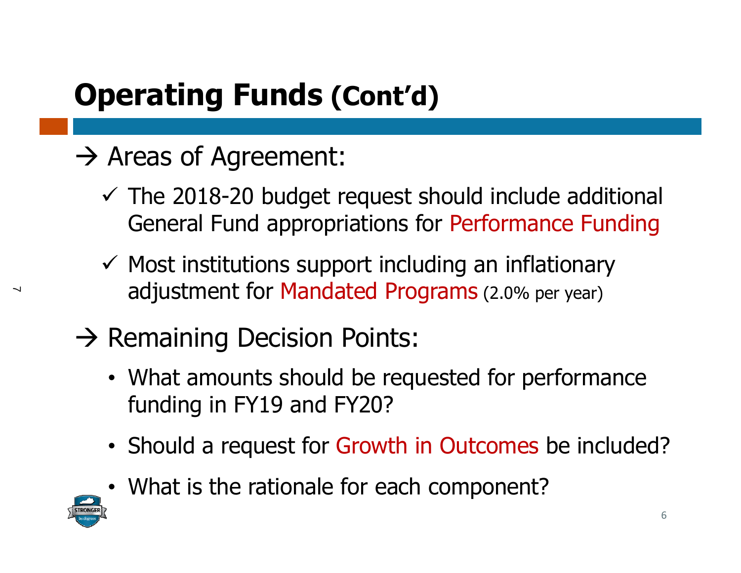## **Operating Funds (Cont'd)**

#### $\rightarrow$  Areas of Agreement:

- $\checkmark$  The 2018-20 budget request should include additional General Fund appropriations for Performance Funding
- $\checkmark$  Most institutions support including an inflationary adjustment for Mandated Programs (2.0% per year)
- $\rightarrow$  Remaining Decision Points:
	- What amounts should be requested for performance funding in FY19 and FY20?
	- Should a request for Growth in Outcomes be included?
	- What is the rationale for each component?



 $\prec$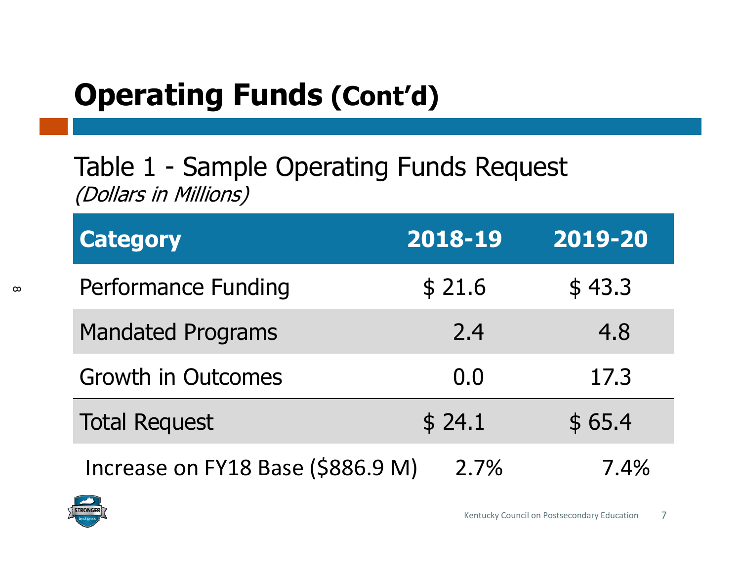## **Operating Funds (Cont'd)**

#### Table 1 - Sample Operating Funds Request (Dollars in Millions)

| <b>Category</b>                   | 2018-19 | 2019-20 |
|-----------------------------------|---------|---------|
| Performance Funding               | \$21.6  | \$43.3  |
| <b>Mandated Programs</b>          | 2.4     | 4.8     |
| <b>Growth in Outcomes</b>         | 0.0     | 17.3    |
| <b>Total Request</b>              | \$24.1  | \$65.4  |
| Increase on FY18 Base (\$886.9 M) | 2.7%    | 7.4%    |

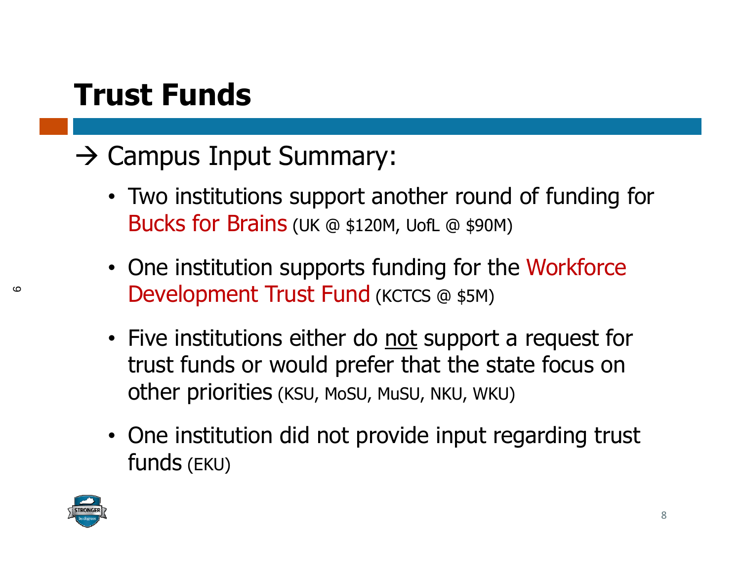#### **Trust Funds**

#### $\rightarrow$  Campus Input Summary:

- Two institutions support another round of funding for Bucks for Brains (UK @ \$120M, UofL @ \$90M)
- One institution supports funding for the Workforce Development Trust Fund (KCTCS @ \$5M)
- Five institutions either do not support a request for trust funds or would prefer that the state focus on other priorities (KSU, MoSU, MuSU, NKU, WKU)
- One institution did not provide input regarding trust funds (EKU)



 $\circ$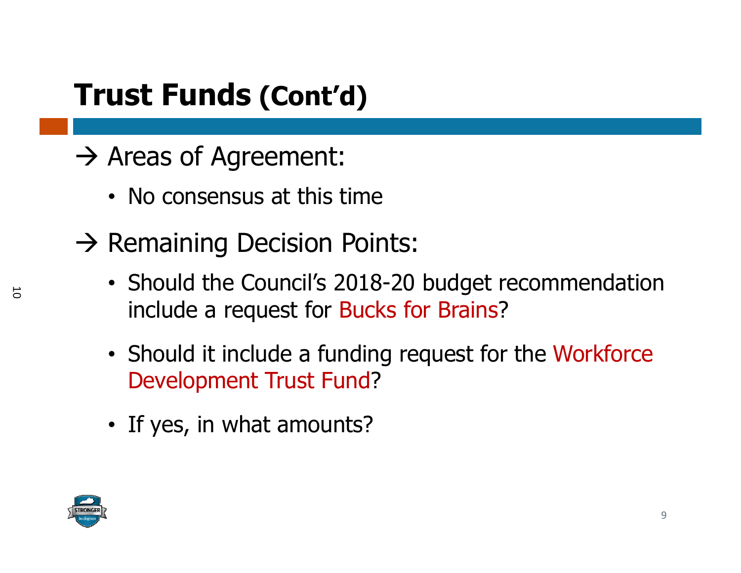#### **Trust Funds (Cont'd)**

- $\rightarrow$  Areas of Agreement:
	- No consensus at this time
- $\rightarrow$  Remaining Decision Points:
	- Should the Council's 2018-20 budget recommendation include a request for Bucks for Brains?
	- Should it include a funding request for the Workforce Development Trust Fund?
	- If yes, in what amounts?

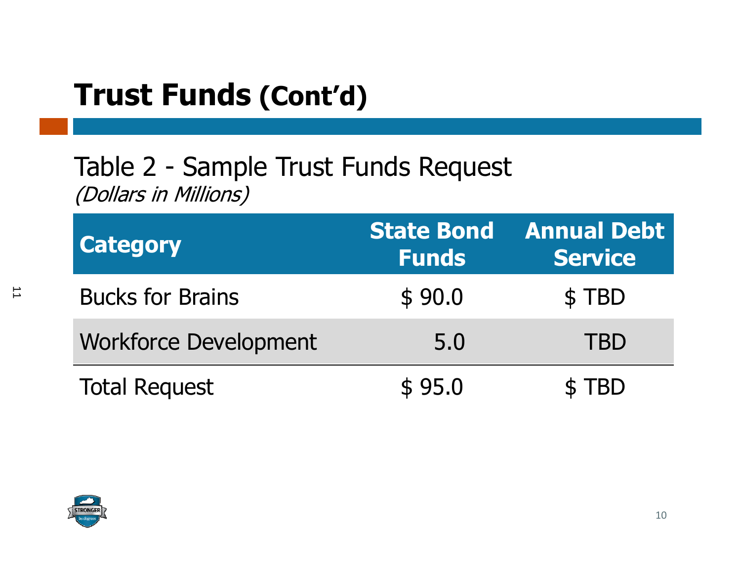#### **Trust Funds (Cont'd)**

#### Table 2 - Sample Trust Funds Request (Dollars in Millions)

| <b>Category</b>              | <b>State Bond</b><br><b>Funds</b> | <b>Annual Debt</b><br><b>Service</b> |
|------------------------------|-----------------------------------|--------------------------------------|
| <b>Bucks for Brains</b>      | \$90.0                            | \$TBD                                |
| <b>Workforce Development</b> | 5.0                               | <b>TBD</b>                           |
| <b>Total Request</b>         | \$95.0                            | <b>TRD</b>                           |

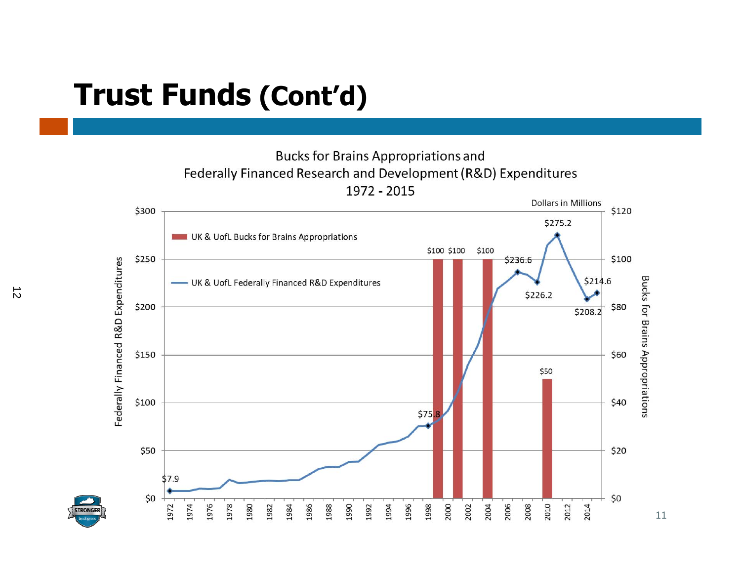#### **Trust Funds (Cont'd)**

**Bucks for Brains Appropriations and** Federally Financed Research and Development (R&D) Expenditures 1972 - 2015



11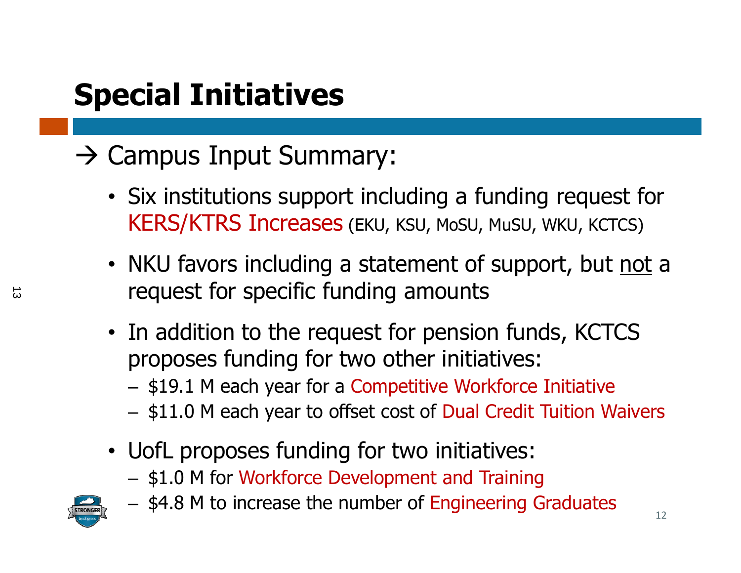## **Special Initiatives**

#### $\rightarrow$  Campus Input Summary:

- Six institutions support including a funding request for KERS/KTRS Increases (EKU, KSU, MoSU, MuSU, WKU, KCTCS)
- NKU favors including a statement of support, but not a request for specific funding amounts
- In addition to the request for pension funds, KCTCS proposes funding for two other initiatives:
	- –– \$19.1 M each year for a Competitive Workforce Initiative
	- – $-$  \$11.0 M each year to offset cost of Dual Credit Tuition Waivers
- UofL proposes funding for two initiatives:
	- $-$  \$1.0 M for Workforce Development and Training



 $-$  \$4.8 M to increase the number of Engineering Graduates  $12$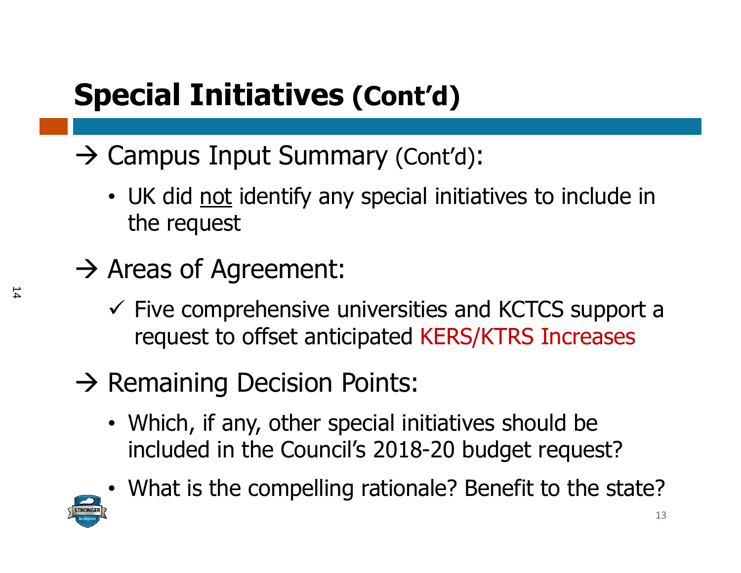## **Special Initiatives (Cont'd)**

- $\rightarrow$  Campus Input Summary (Cont'd):
	- UK did not identify any special initiatives to include in the request
- $\rightarrow$  Areas of Agreement:
	- $\checkmark$  Five comprehensive universities and KCTCS support a request to offset anticipated KERS/KTRS Increases
- $\rightarrow$  Remaining Decision Points:
	- Which, if any, other special initiatives should be included in the Council's 2018-20 budget request?



• What is the compelling rationale? Benefit to the state?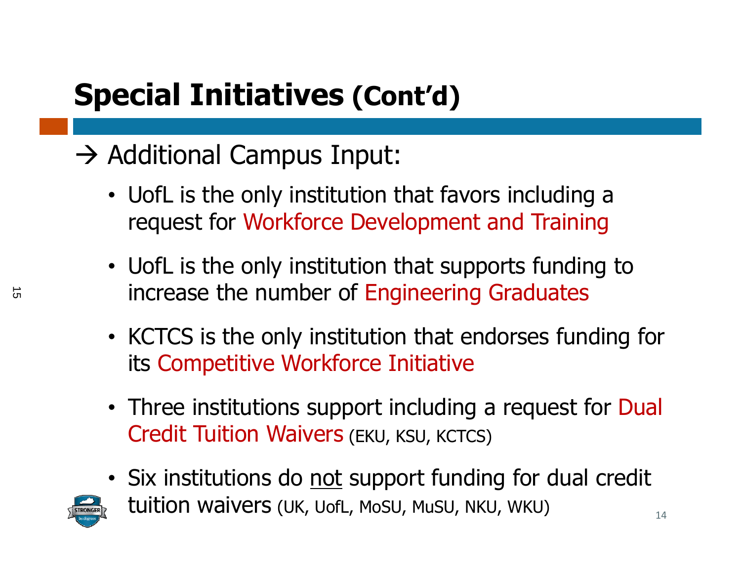## **Special Initiatives (Cont'd)**

#### $\rightarrow$  Additional Campus Input:

- UofL is the only institution that favors including a request for Workforce Development and Training
- UofL is the only institution that supports funding to increase the number of Engineering Graduates
- KCTCS is the only institution that endorses funding for its Competitive Workforce Initiative
- Three institutions support including a request for Dual Credit Tuition Waivers (EKU, KSU, KCTCS)
- Six institutions do not support funding for dual credit



tuition waivers (UK, UofL, MoSU, MuSU, NKU, WKU)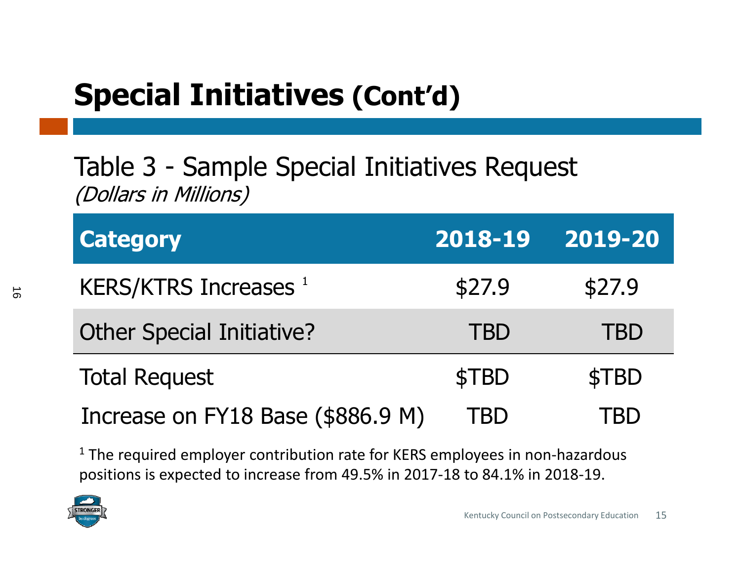## **Special Initiatives (Cont'd)**

#### Table 3 - Sample Special Initiatives Request (Dollars in Millions)

| <b>Category</b>                         | 2018-19    | 2019-20    |
|-----------------------------------------|------------|------------|
| <b>KERS/KTRS Increases</b> <sup>1</sup> | \$27.9     | \$27.9     |
| <b>Other Special Initiative?</b>        | <b>TBD</b> | <b>TBD</b> |
| <b>Total Request</b>                    | \$TBD      | \$TBD      |
| Increase on FY18 Base (\$886.9 M)       | FBD        |            |

 $1$  The required employer contribution rate for KERS employees in non-hazardous positions is expected to increase from 49.5% in 2017‐18 to 84.1% in 2018‐19.

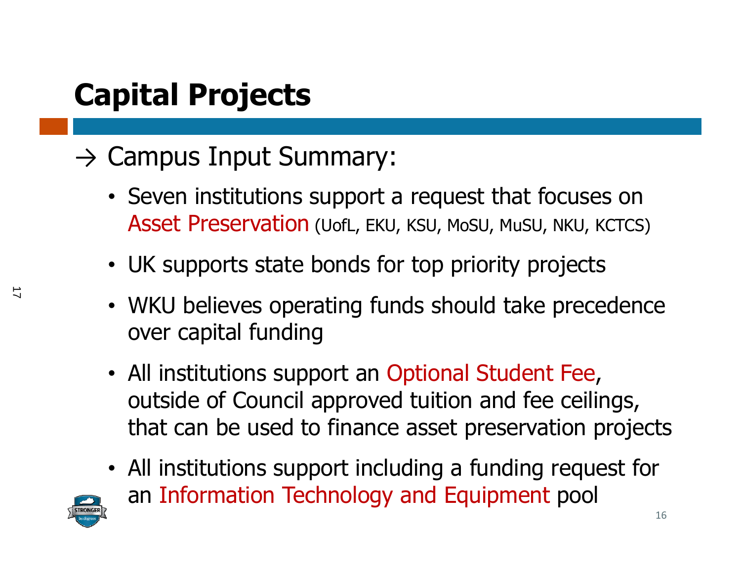## **Capital Projects**

#### $\rightarrow$  Campus Input Summary:

- Seven institutions support a request that focuses on Asset Preservation (UofL, EKU, KSU, MoSU, MuSU, NKU, KCTCS)
- UK supports state bonds for top priority projects
- WKU believes operating funds should take precedence over capital funding
- All institutions support an Optional Student Fee, outside of Council approved tuition and fee ceilings, that can be used to finance asset preservation projects
- All institutions support including a funding request for an Information Technology and Equipment pool

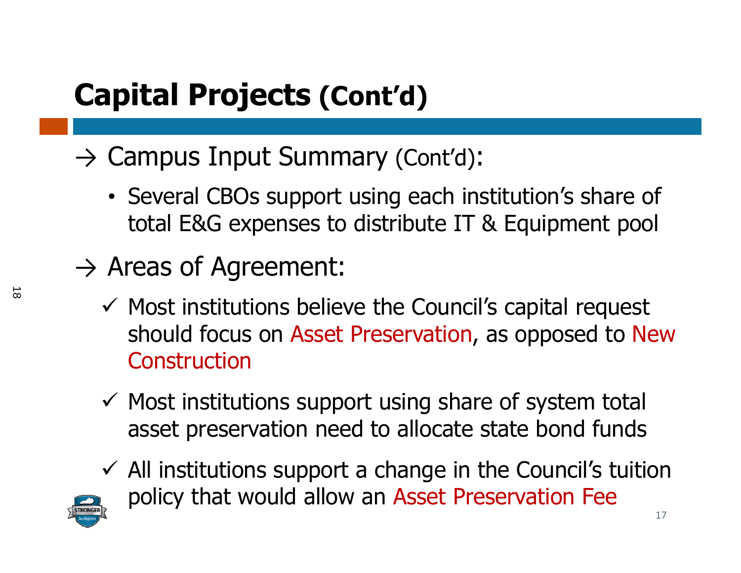- $\rightarrow$  Campus Input Summary (Cont'd):
	- Several CBOs support using each institution's share of total E&G expenses to distribute IT & Equipment pool
- $\rightarrow$  Areas of Agreement:
	- $\checkmark$  Most institutions believe the Council's capital request should focus on Asset Preservation, as opposed to New Construction
	- $\checkmark$  Most institutions support using share of system total asset preservation need to allocate state bond funds
	- $\checkmark$  All institutions support a change in the Council's tuition policy that would allow an Asset Preservation Fee

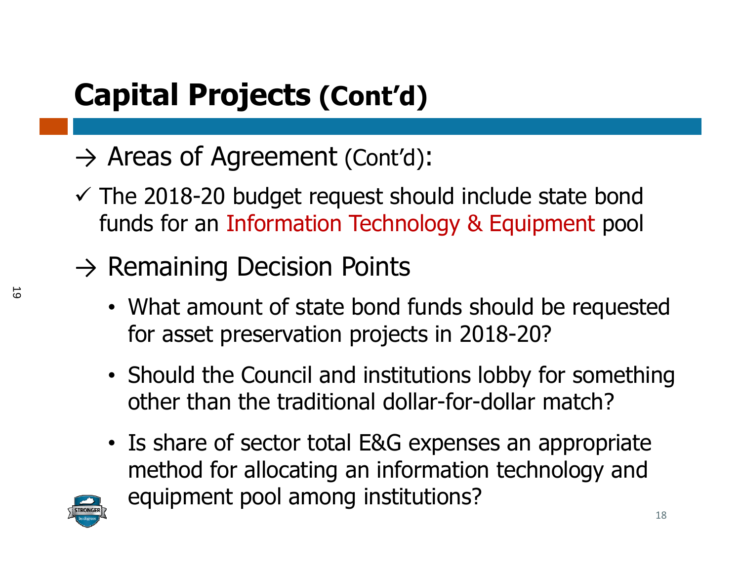- $\rightarrow$  Areas of Agreement (Cont'd):
- $\checkmark$  The 2018-20 budget request should include state bond funds for an Information Technology & Equipment pool
- $\rightarrow$  Remaining Decision Points
	- What amount of state bond funds should be requested for asset preservation projects in 2018-20?
	- Should the Council and institutions lobby for something other than the traditional dollar-for-dollar match?
	- Is share of sector total E&G expenses an appropriate method for allocating an information technology and equipment pool among institutions?

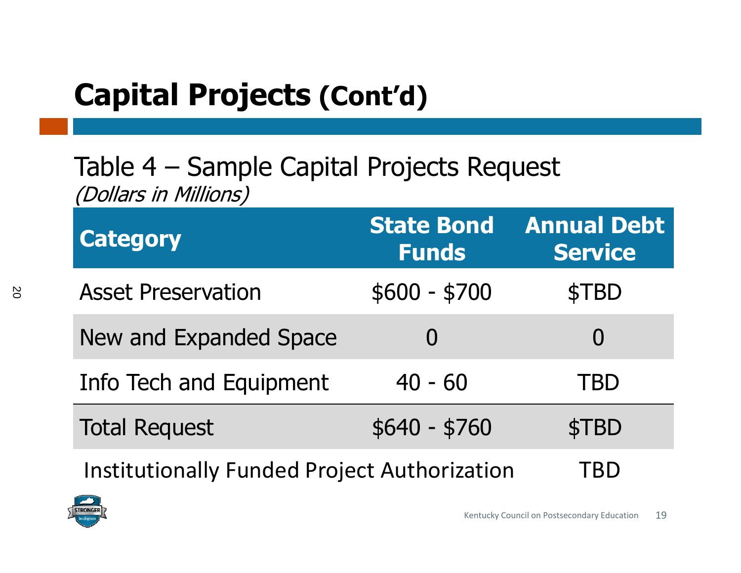#### Table 4 – Sample Capital Projects Request (Dollars in Millions)

| <b>Category</b>                                     | <b>State Bond</b><br><b>Funds</b> | <b>Annual Debt</b><br><b>Service</b> |
|-----------------------------------------------------|-----------------------------------|--------------------------------------|
| <b>Asset Preservation</b>                           | $$600 - $700$                     | \$TBD                                |
| New and Expanded Space                              |                                   | $\Omega$                             |
| Info Tech and Equipment                             | $40 - 60$                         | TBD                                  |
| <b>Total Request</b>                                | $$640 - $760$                     | \$TBD                                |
| <b>Institutionally Funded Project Authorization</b> |                                   |                                      |

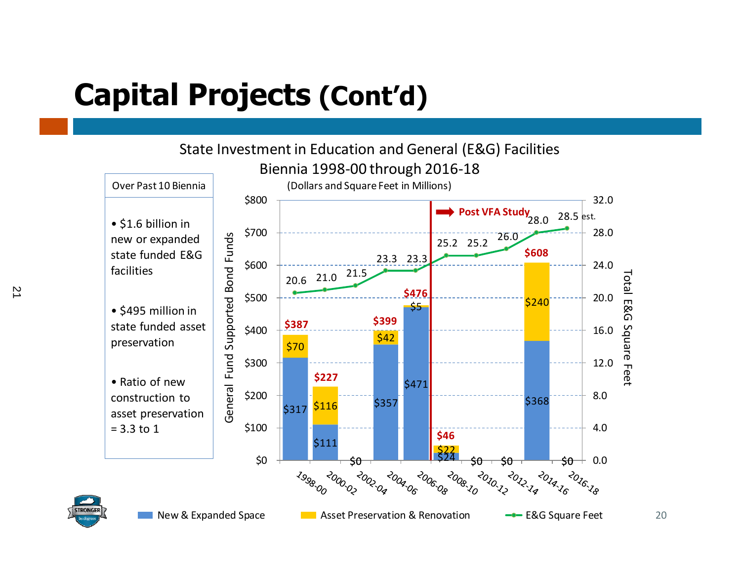

21

20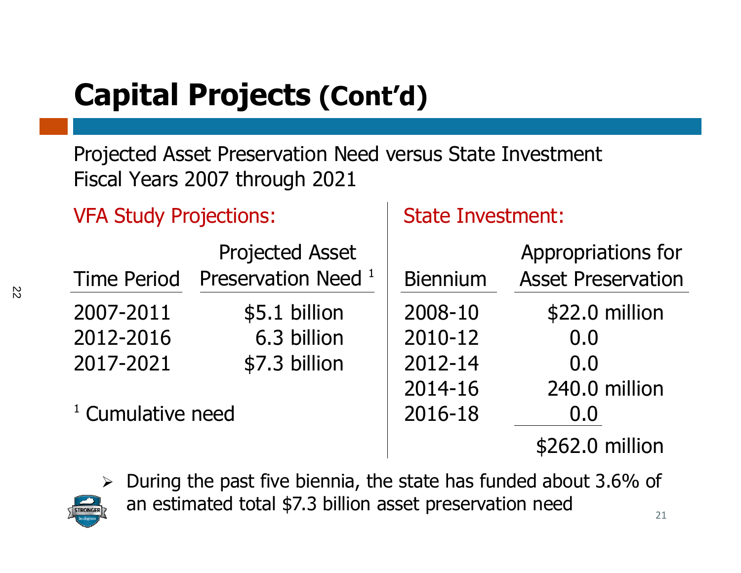Projected Asset Preservation Need versus State Investment Fiscal Years 2007 through 2021

VFA Study Projections: State Investment:

|                              | <b>Projected Asset</b>         |                 | Appropriations for        |
|------------------------------|--------------------------------|-----------------|---------------------------|
| <b>Time Period</b>           | Preservation Need <sup>1</sup> | <b>Biennium</b> | <b>Asset Preservation</b> |
| 2007-2011                    | \$5.1 billion                  | 2008-10         | \$22.0 million            |
| 2012-2016                    | 6.3 billion                    | 2010-12         | 0.0                       |
| 2017-2021                    | \$7.3 billion                  | 2012-14         | 0.0                       |
|                              |                                | 2014-16         | 240.0 million             |
| <sup>1</sup> Cumulative need |                                | 2016-18         | 0.0                       |
|                              |                                |                 | \$262.0 million           |



 During the past five biennia, the state has funded about 3.6% of an estimated total \$7.3 billion asset preservation need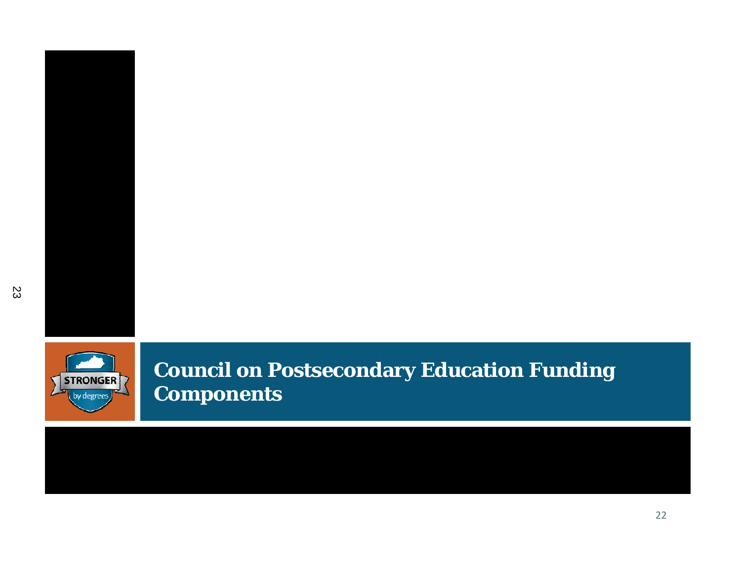

**Council on Postsecondary Education Funding Components**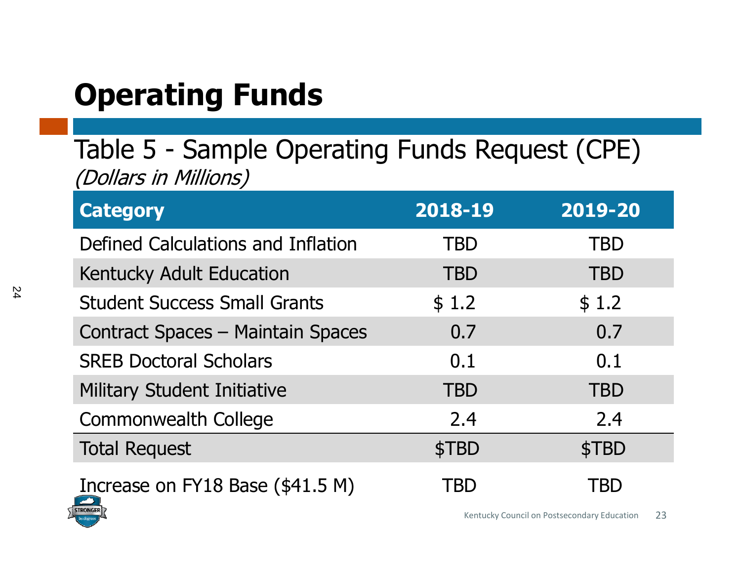# **Operating Funds**

Table 5 - Sample Operating Funds Request (CPE) (Dollars in Millions)

| <b>Category</b>                     | 2018-19    | 2019-20    |
|-------------------------------------|------------|------------|
| Defined Calculations and Inflation  | <b>TBD</b> | <b>TBD</b> |
| Kentucky Adult Education            | <b>TBD</b> | <b>TBD</b> |
| <b>Student Success Small Grants</b> | \$1.2      | \$1.2      |
| Contract Spaces - Maintain Spaces   | 0.7        | 0.7        |
| <b>SREB Doctoral Scholars</b>       | 0.1        | 0.1        |
| <b>Military Student Initiative</b>  | <b>TBD</b> | <b>TBD</b> |
| <b>Commonwealth College</b>         | 2.4        | 2.4        |
| <b>Total Request</b>                | \$TBD      | \$TBD      |
| Increase on FY18 Base (\$41.5 M)    | TBD        | `BD        |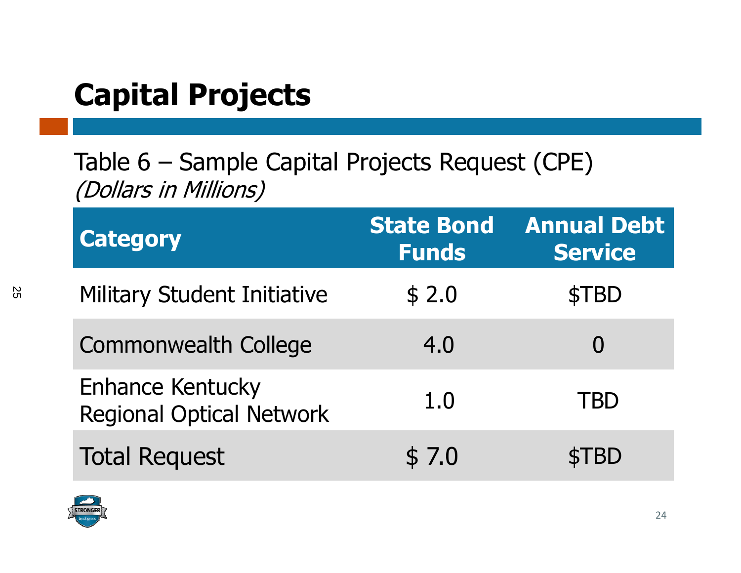#### **Capital Projects**

Table 6 – Sample Capital Projects Request (CPE) (Dollars in Millions)

| <b>Category</b>                                            | <b>State Bond</b><br><b>Funds</b> | <b>Annual Debt</b><br><b>Service</b> |
|------------------------------------------------------------|-----------------------------------|--------------------------------------|
| <b>Military Student Initiative</b>                         | \$2.0                             | \$TBD                                |
| <b>Commonwealth College</b>                                | 4.0                               |                                      |
| <b>Enhance Kentucky</b><br><b>Regional Optical Network</b> | 1.0                               | TBD                                  |
| <b>Total Request</b>                                       | \$7.0                             | TBD                                  |